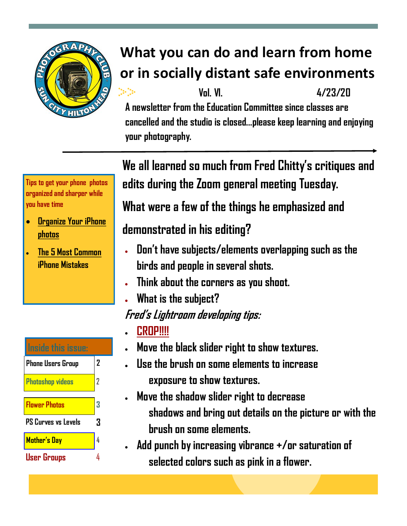

# **What you can do and learn from home or in socially distant safe environments**

 **Vol. VI. 4/23/20**

**A newsletter from the Education Committee since classes are cancelled and the studio is closed...please keep learning and enjoying your photography.**

**We all learned so much from Fred Chitty's critiques and edits during the Zoom general meeting Tuesday.** 

**What were a few of the things he emphasized and** 

### **demonstrated in his editing?**

- **Don't have subjects/elements overlapping such as the birds and people in several shots.**
- **Think about the corners as you shoot.**
- **What is the subject?**

**Fred's Lightroom developing tips:** 

- **CROP!!!!**
- **Move the black slider right to show textures.**
- **Use the brush on some elements to increase exposure to show textures.**
- **Move the shadow slider right to decrease shadows and bring out details on the picture or with the brush on some elements.**
- **Add punch by increasing vibrance +/or saturation of selected colors such as pink in a flower.**

**Tips to get your phone photos organized and sharper while you have time**

- **[Organize Your iPhone](https://wwwhttps:/support.apple.com/guide/iphone/organize-photos-in-albums-iphc0fc668ab/ios)  [photos](https://wwwhttps:/support.apple.com/guide/iphone/organize-photos-in-albums-iphc0fc668ab/ios)**
- **[The 5 Most Common](https://www.youtube.com/watch?v=Qw2dtv_Q7ZM) iPhone Mistakes**

| Inside this issue:         |                |  |
|----------------------------|----------------|--|
| <b>Phone Users Group</b>   | $\overline{2}$ |  |
| <b>Photoshop videos</b>    | 2              |  |
| <b>Flower Photos</b>       | 3              |  |
| <b>PS Curves vs Levels</b> | 3              |  |
| <b>Mother's Day</b>        | 4              |  |
| User Grou                  |                |  |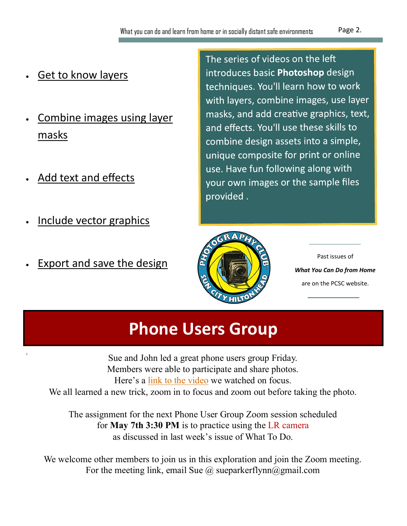- [Get to know layers](https://helpx.adobe.com/photoshop/how-to/graphic-design-basics.html?playlist=/services/playlist.helpx/products:SG_PHOTOSHOP_1_1/learn-path:key-techniques/playlist:topic/set-header:quick-starts/en_us.json&ref=helpx.adobe.com)
- [Combine images using layer](https://helpx.adobe.com/photoshop/how-to/graphic-design-basics.html?playlist=/services/playlist.helpx/products:SG_PHOTOSHOP_1_1/learn-path:key-techniques/playlist:topic/set-header:quick-starts/en_us.json&ref=helpx.adobe.com)  [masks](https://helpx.adobe.com/photoshop/how-to/graphic-design-basics.html?playlist=/services/playlist.helpx/products:SG_PHOTOSHOP_1_1/learn-path:key-techniques/playlist:topic/set-header:quick-starts/en_us.json&ref=helpx.adobe.com)
- [Add text and effects](https://helpx.adobe.com/photoshop/how-to/graphic-design-basics.html?playlist=/services/playlist.helpx/products:SG_PHOTOSHOP_1_1/learn-path:key-techniques/playlist:topic/set-header:quick-starts/en_us.json&ref=helpx.adobe.com)
- [Include vector graphics](https://helpx.adobe.com/photoshop/how-to/graphic-design-basics.html?playlist=/services/playlist.helpx/products:SG_PHOTOSHOP_1_1/learn-path:key-techniques/playlist:topic/set-header:quick-starts/en_us.json&ref=helpx.adobe.com)
- [Export and save the design](https://helpx.adobe.com/photoshop/how-to/graphic-design-basics.html?playlist=/services/playlist.helpx/products:SG_PHOTOSHOP_1_1/learn-path:key-techniques/playlist:topic/set-header:quick-starts/en_us.json&ref=helpx.adobe.com)

The series of videos on the left introduces basic Photoshop design techniques. You'll learn how to work with layers, combine images, use layer masks, and add creative graphics, text, and effects. You'll use these skills to combine design assets into a simple, unique composite for print or online use. Have fun following along with your own images or the sample files provided.



Past issues of *What You Can Do from Home*  are on the PCSC website.

## **Phone Users Group**

. Sue and John led a great phone users group Friday. Members were able to participate and share photos. Here's a [link to the video](https://youtu.be/JBdH-bttN-c) we watched on focus. We all learned a new trick, zoom in to focus and zoom out before taking the photo.

The assignment for the next Phone User Group Zoom session scheduled for **May 7th 3:30 PM** is to practice using the LR camera as discussed in last week's issue of What To Do.

We welcome other members to join us in this exploration and join the Zoom meeting. For the meeting link, email Sue  $\omega$  sueparkerflynn $\omega$ gmail.com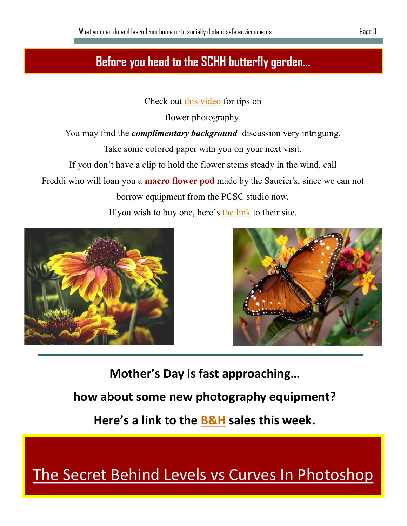#### **Before you head to the SCHH butterfly garden...**

Check out [this video](https://youtu.be/TwP9do0JWKk) for tips on

flower photography.

You may find the *complimentary background* discussion very intriguing.

Take some colored paper with you on your next visit.

If you don't have a clip to hold the flower stems steady in the wind, call

Freddi who will loan you a **macro flower pod** made by the Saucier's, since we can not

borrow equipment from the PCSC studio now.

If you wish to buy one, here's [the link](https://saucierphoto.com/product/macro-flowerpod/) to their site.





**Mother's Day is fast approaching…**

**how about some new photography equipment?**

**Here's a link to the [B&H](https://link.bandh.com/YesConnect/HtmlMessagePreview?utJDV5uxPQhbaAeXYiYcmMYnf0gVgDpkJUUEz0cHE54=.enc) sales this week.** 

### [The Secret Behind Levels vs Curves In Photoshop](https://www.youtube.com/watch?v=XRo_5kC3GNE)